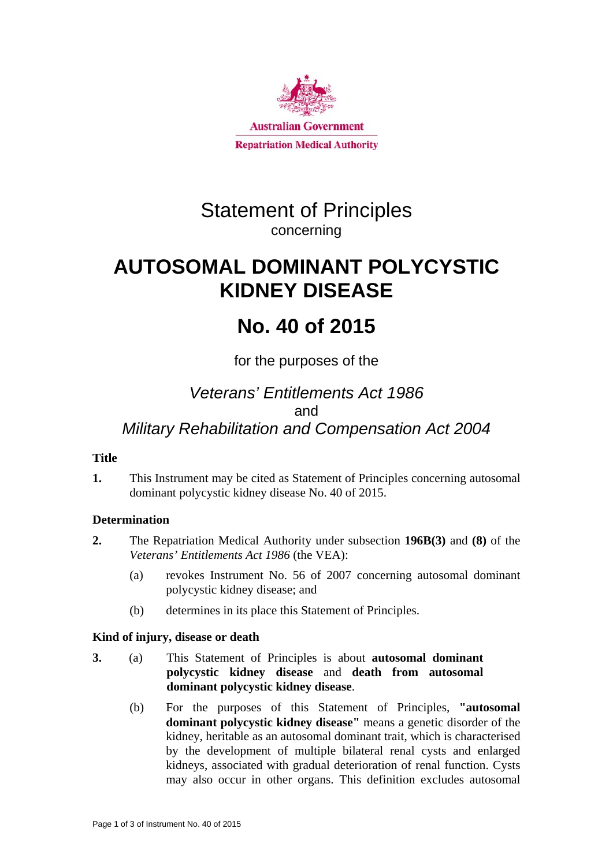

# Statement of Principles concerning

# **AUTOSOMAL DOMINANT POLYCYSTIC KIDNEY DISEASE**

# **No. 40 of 2015**

## for the purposes of the

# *Veterans' Entitlements Act 1986*  and *Military Rehabilitation and Compensation Act 2004*

## **Title**

**1.** This Instrument may be cited as Statement of Principles concerning autosomal dominant polycystic kidney disease No. 40 of 2015.

## **Determination**

- **2.** The Repatriation Medical Authority under subsection **196B(3)** and **(8)** of the *Veterans' Entitlements Act 1986* (the VEA):
	- (a) revokes Instrument No. 56 of 2007 concerning autosomal dominant polycystic kidney disease; and
	- (b) determines in its place this Statement of Principles.

## **Kind of injury, disease or death**

- **3.** (a) This Statement of Principles is about **autosomal dominant polycystic kidney disease** and **death from autosomal dominant polycystic kidney disease**.
	- (b) For the purposes of this Statement of Principles, **"autosomal dominant polycystic kidney disease"** means a genetic disorder of the kidney, heritable as an autosomal dominant trait, which is characterised by the development of multiple bilateral renal cysts and enlarged kidneys, associated with gradual deterioration of renal function. Cysts may also occur in other organs. This definition excludes autosomal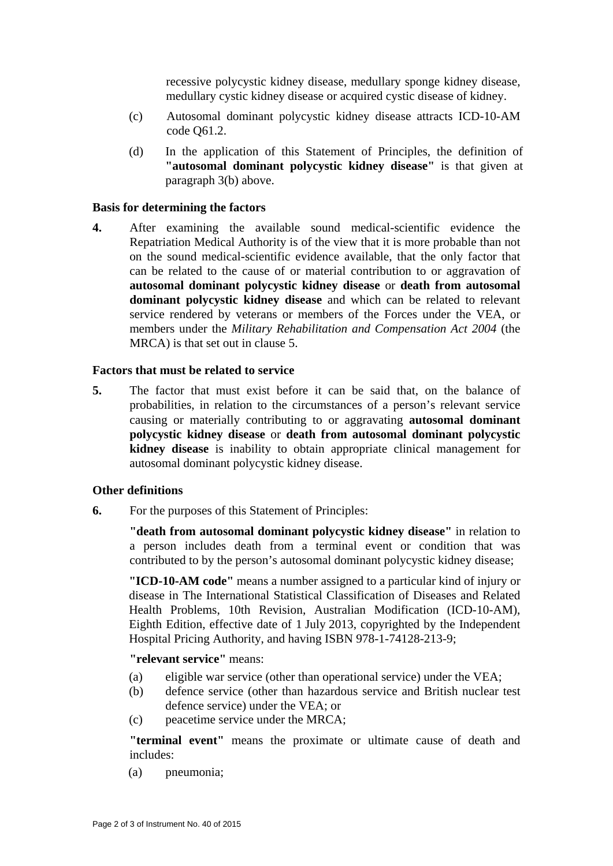recessive polycystic kidney disease, medullary sponge kidney disease, medullary cystic kidney disease or acquired cystic disease of kidney.

- (c) Autosomal dominant polycystic kidney disease attracts ICD-10-AM code Q61.2.
- (d) In the application of this Statement of Principles, the definition of **"autosomal dominant polycystic kidney disease"** is that given at paragraph 3(b) above.

#### **Basis for determining the factors**

**4.** After examining the available sound medical-scientific evidence the Repatriation Medical Authority is of the view that it is more probable than not on the sound medical-scientific evidence available, that the only factor that can be related to the cause of or material contribution to or aggravation of **autosomal dominant polycystic kidney disease** or **death from autosomal dominant polycystic kidney disease** and which can be related to relevant service rendered by veterans or members of the Forces under the VEA, or members under the *Military Rehabilitation and Compensation Act 2004* (the MRCA) is that set out in clause 5.

#### **Factors that must be related to service**

**5.** The factor that must exist before it can be said that, on the balance of probabilities, in relation to the circumstances of a person's relevant service causing or materially contributing to or aggravating **autosomal dominant polycystic kidney disease** or **death from autosomal dominant polycystic kidney disease** is inability to obtain appropriate clinical management for autosomal dominant polycystic kidney disease.

#### **Other definitions**

**6.** For the purposes of this Statement of Principles:

**"death from autosomal dominant polycystic kidney disease"** in relation to a person includes death from a terminal event or condition that was contributed to by the person's autosomal dominant polycystic kidney disease;

**"ICD-10-AM code"** means a number assigned to a particular kind of injury or disease in The International Statistical Classification of Diseases and Related Health Problems, 10th Revision, Australian Modification (ICD-10-AM), Eighth Edition, effective date of 1 July 2013, copyrighted by the Independent Hospital Pricing Authority, and having ISBN 978-1-74128-213-9;

**"relevant service"** means:

- (a) eligible war service (other than operational service) under the VEA;
- (b) defence service (other than hazardous service and British nuclear test defence service) under the VEA; or
- (c) peacetime service under the MRCA;

**"terminal event"** means the proximate or ultimate cause of death and includes:

(a) pneumonia;